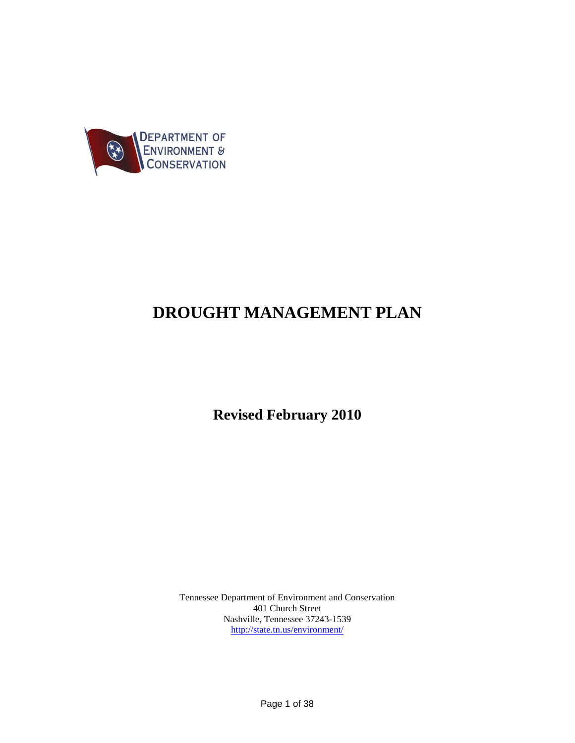

# **DROUGHT MANAGEMENT PLAN**

**Revised February 2010**

Tennessee Department of Environment and Conservation 401 Church Street Nashville, Tennessee 37243-1539 <http://state.tn.us/environment/>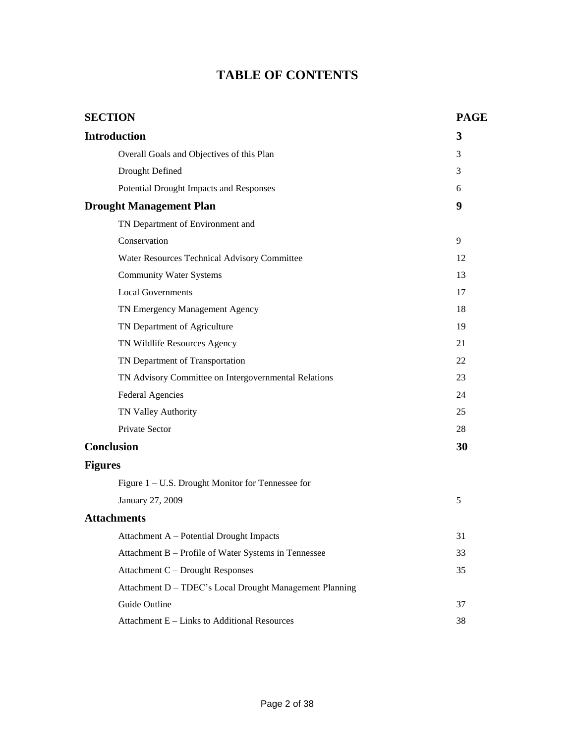## **TABLE OF CONTENTS**

| <b>SECTION</b>                                          | <b>PAGE</b> |
|---------------------------------------------------------|-------------|
| <b>Introduction</b>                                     | 3           |
| Overall Goals and Objectives of this Plan               | 3           |
| Drought Defined                                         | 3           |
| Potential Drought Impacts and Responses                 | 6           |
| <b>Drought Management Plan</b>                          | 9           |
| TN Department of Environment and                        |             |
| Conservation                                            | 9           |
| Water Resources Technical Advisory Committee            | 12          |
| <b>Community Water Systems</b>                          | 13          |
| <b>Local Governments</b>                                | 17          |
| TN Emergency Management Agency                          | 18          |
| TN Department of Agriculture                            | 19          |
| TN Wildlife Resources Agency                            | 21          |
| TN Department of Transportation                         | 22          |
| TN Advisory Committee on Intergovernmental Relations    | 23          |
| <b>Federal Agencies</b>                                 | 24          |
| TN Valley Authority                                     | 25          |
| Private Sector                                          | 28          |
| <b>Conclusion</b>                                       | 30          |
| <b>Figures</b>                                          |             |
| Figure $1 - U.S.$ Drought Monitor for Tennessee for     |             |
| January 27, 2009                                        | 5           |
| <b>Attachments</b>                                      |             |
| Attachment A - Potential Drought Impacts                | 31          |
| Attachment B - Profile of Water Systems in Tennessee    | 33          |
| Attachment C - Drought Responses                        | 35          |
| Attachment D - TDEC's Local Drought Management Planning |             |
| Guide Outline                                           | 37          |
| Attachment E - Links to Additional Resources            | 38          |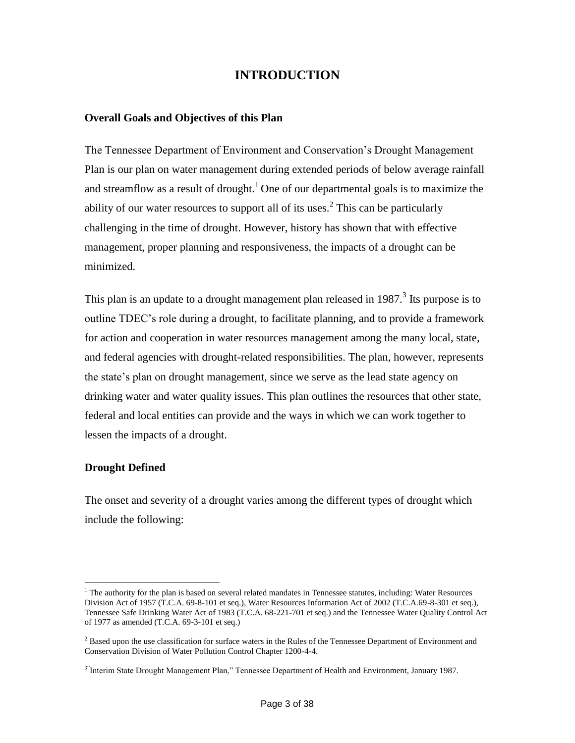### **INTRODUCTION**

#### **Overall Goals and Objectives of this Plan**

The Tennessee Department of Environment and Conservation's Drought Management Plan is our plan on water management during extended periods of below average rainfall and streamflow as a result of drought.<sup>1</sup> One of our departmental goals is to maximize the ability of our water resources to support all of its uses.<sup>2</sup> This can be particularly challenging in the time of drought. However, history has shown that with effective management, proper planning and responsiveness, the impacts of a drought can be minimized.

This plan is an update to a drought management plan released in  $1987$ <sup>3</sup>. Its purpose is to outline TDEC's role during a drought, to facilitate planning, and to provide a framework for action and cooperation in water resources management among the many local, state, and federal agencies with drought-related responsibilities. The plan, however, represents the state's plan on drought management, since we serve as the lead state agency on drinking water and water quality issues. This plan outlines the resources that other state, federal and local entities can provide and the ways in which we can work together to lessen the impacts of a drought.

#### **Drought Defined**

 $\overline{a}$ 

The onset and severity of a drought varies among the different types of drought which include the following:

 $<sup>1</sup>$  The authority for the plan is based on several related mandates in Tennessee statutes, including: Water Resources</sup> Division Act of 1957 (T.C.A. 69-8-101 et seq.), Water Resources Information Act of 2002 (T.C.A.69-8-301 et seq.), Tennessee Safe Drinking Water Act of 1983 (T.C.A. 68-221-701 et seq.) and the Tennessee Water Quality Control Act of 1977 as amended (T.C.A. 69-3-101 et seq.)

<sup>&</sup>lt;sup>2</sup> Based upon the use classification for surface waters in the Rules of the Tennessee Department of Environment and Conservation Division of Water Pollution Control Chapter 1200-4-4.

<sup>&</sup>lt;sup>3</sup>"Interim State Drought Management Plan," Tennessee Department of Health and Environment, January 1987.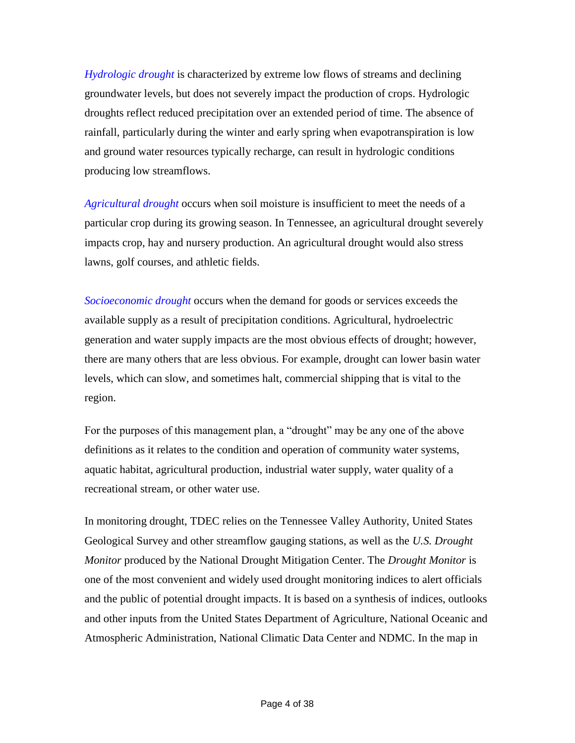*Hydrologic drought* is characterized by extreme low flows of streams and declining groundwater levels, but does not severely impact the production of crops. Hydrologic droughts reflect reduced precipitation over an extended period of time. The absence of rainfall, particularly during the winter and early spring when evapotranspiration is low and ground water resources typically recharge, can result in hydrologic conditions producing low streamflows.

*Agricultural drought* occurs when soil moisture is insufficient to meet the needs of a particular crop during its growing season. In Tennessee, an agricultural drought severely impacts crop, hay and nursery production. An agricultural drought would also stress lawns, golf courses, and athletic fields.

*Socioeconomic drought* occurs when the demand for goods or services exceeds the available supply as a result of precipitation conditions. Agricultural, hydroelectric generation and water supply impacts are the most obvious effects of drought; however, there are many others that are less obvious. For example, drought can lower basin water levels, which can slow, and sometimes halt, commercial shipping that is vital to the region.

For the purposes of this management plan, a "drought" may be any one of the above definitions as it relates to the condition and operation of community water systems, aquatic habitat, agricultural production, industrial water supply, water quality of a recreational stream, or other water use.

In monitoring drought, TDEC relies on the Tennessee Valley Authority, United States Geological Survey and other streamflow gauging stations, as well as the *U.S. Drought Monitor* produced by the National Drought Mitigation Center. The *Drought Monitor* is one of the most convenient and widely used drought monitoring indices to alert officials and the public of potential drought impacts. It is based on a synthesis of indices, outlooks and other inputs from the United States Department of Agriculture, National Oceanic and Atmospheric Administration, National Climatic Data Center and NDMC. In the map in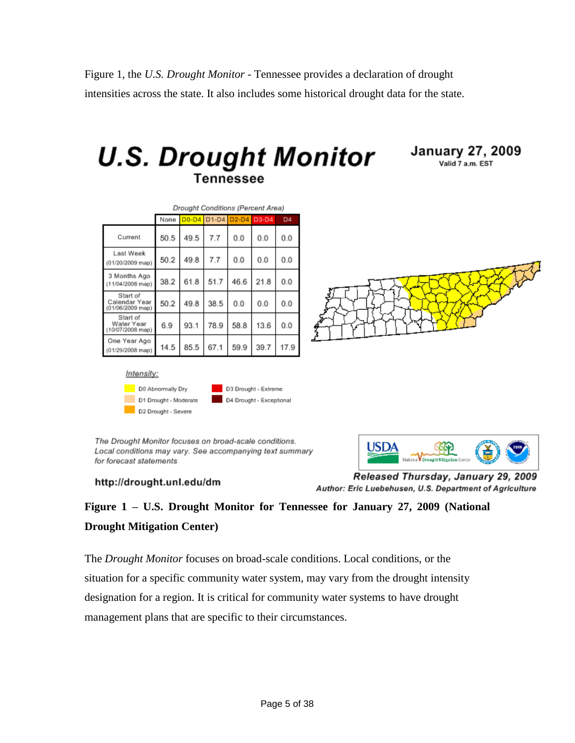Figure 1, the *U.S. Drought Monitor* - Tennessee provides a declaration of drought intensities across the state. It also includes some historical drought data for the state.





|                                                 | Drought Conditions (Percent Area) |      |      |                   |         |                |
|-------------------------------------------------|-----------------------------------|------|------|-------------------|---------|----------------|
|                                                 | None                              |      |      | D0-D4 D1-D4 D2-D4 | $D3-D4$ | D <sub>4</sub> |
| Current                                         | 50.5                              | 49.5 | 7.7  | 0.0               | 0.0     | 0.0            |
| Last Week<br>$(01/20/2009$ map)                 | 50.2                              | 49.8 | 7.7  | 0.0               | 0.0     | 0.0            |
| 3 Months Ago<br>$(11/04/2008$ map)              | 38.2                              | 61.8 | 51.7 | 46.6              | 21.8    | 0.0            |
| Start of<br>Calendar Year<br>$(01/06/2009$ map) | 50.2                              | 49.8 | 38.5 | 0.0               | 0.0     | 0.0            |
| Start of<br>Water Year<br>$(10/07/2008$ map)    | 6.9                               | 93.1 | 78.9 | 58.8              | 13.6    | 0.0            |
| One Year Ago<br>$(01/29/2008$ map)              | 14.5                              | 85.5 | 67.1 | 59.9              | 39.7    | 17.9           |





The Drought Monitor focuses on broad-scale conditions. Local conditions may vary. See accompanying text summary for forecast statements



http://drought.unl.edu/dm

Released Thursday, January 29, 2009 Author: Eric Luebehusen, U.S. Department of Agriculture

## **Figure 1 – U.S. Drought Monitor for Tennessee for January 27, 2009 (National Drought Mitigation Center)**

The *Drought Monitor* focuses on broad-scale conditions. Local conditions, or the situation for a specific community water system, may vary from the drought intensity designation for a region. It is critical for community water systems to have drought management plans that are specific to their circumstances.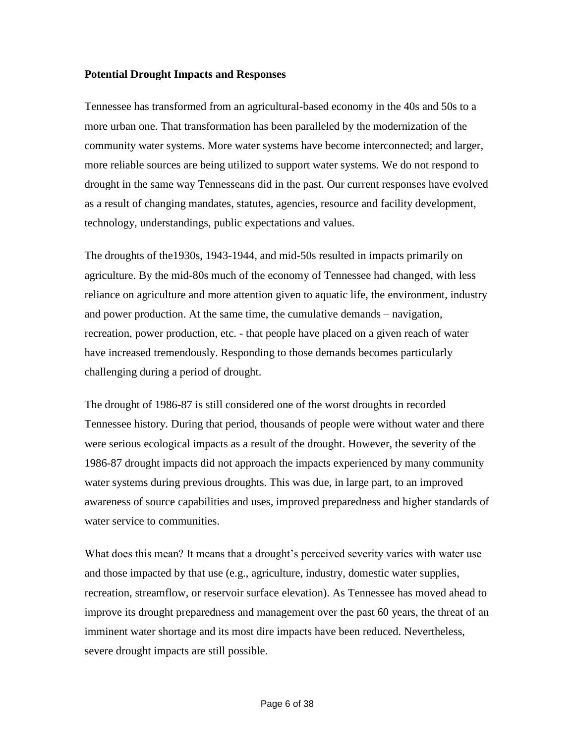#### **Potential Drought Impacts and Responses**

Tennessee has transformed from an agricultural-based economy in the 40s and 50s to a more urban one. That transformation has been paralleled by the modernization of the community water systems. More water systems have become interconnected; and larger, more reliable sources are being utilized to support water systems. We do not respond to drought in the same way Tennesseans did in the past. Our current responses have evolved as a result of changing mandates, statutes, agencies, resource and facility development, technology, understandings, public expectations and values.

The droughts of the1930s, 1943-1944, and mid-50s resulted in impacts primarily on agriculture. By the mid-80s much of the economy of Tennessee had changed, with less reliance on agriculture and more attention given to aquatic life, the environment, industry and power production. At the same time, the cumulative demands – navigation, recreation, power production, etc. - that people have placed on a given reach of water have increased tremendously. Responding to those demands becomes particularly challenging during a period of drought.

The drought of 1986-87 is still considered one of the worst droughts in recorded Tennessee history. During that period, thousands of people were without water and there were serious ecological impacts as a result of the drought. However, the severity of the 1986-87 drought impacts did not approach the impacts experienced by many community water systems during previous droughts. This was due, in large part, to an improved awareness of source capabilities and uses, improved preparedness and higher standards of water service to communities.

What does this mean? It means that a drought's perceived severity varies with water use and those impacted by that use (e.g., agriculture, industry, domestic water supplies, recreation, streamflow, or reservoir surface elevation). As Tennessee has moved ahead to improve its drought preparedness and management over the past 60 years, the threat of an imminent water shortage and its most dire impacts have been reduced. Nevertheless, severe drought impacts are still possible.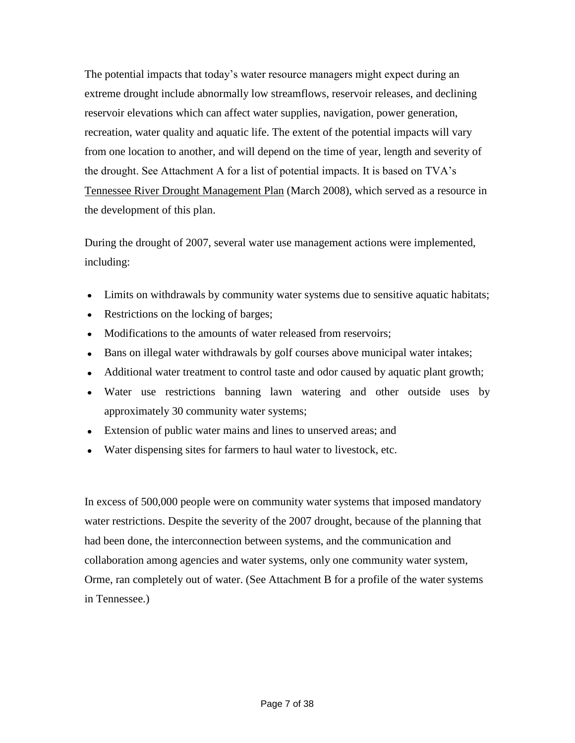The potential impacts that today's water resource managers might expect during an extreme drought include abnormally low streamflows, reservoir releases, and declining reservoir elevations which can affect water supplies, navigation, power generation, recreation, water quality and aquatic life. The extent of the potential impacts will vary from one location to another, and will depend on the time of year, length and severity of the drought. See Attachment A for a list of potential impacts. It is based on TVA's Tennessee River Drought Management Plan (March 2008), which served as a resource in the development of this plan.

During the drought of 2007, several water use management actions were implemented, including:

- Limits on withdrawals by community water systems due to sensitive aquatic habitats;  $\bullet$
- Restrictions on the locking of barges;  $\bullet$
- $\bullet$ Modifications to the amounts of water released from reservoirs;
- Bans on illegal water withdrawals by golf courses above municipal water intakes;
- Additional water treatment to control taste and odor caused by aquatic plant growth;
- Water use restrictions banning lawn watering and other outside uses by approximately 30 community water systems;
- Extension of public water mains and lines to unserved areas; and
- Water dispensing sites for farmers to haul water to livestock, etc.

In excess of 500,000 people were on community water systems that imposed mandatory water restrictions. Despite the severity of the 2007 drought, because of the planning that had been done, the interconnection between systems, and the communication and collaboration among agencies and water systems, only one community water system, Orme, ran completely out of water. (See Attachment B for a profile of the water systems in Tennessee.)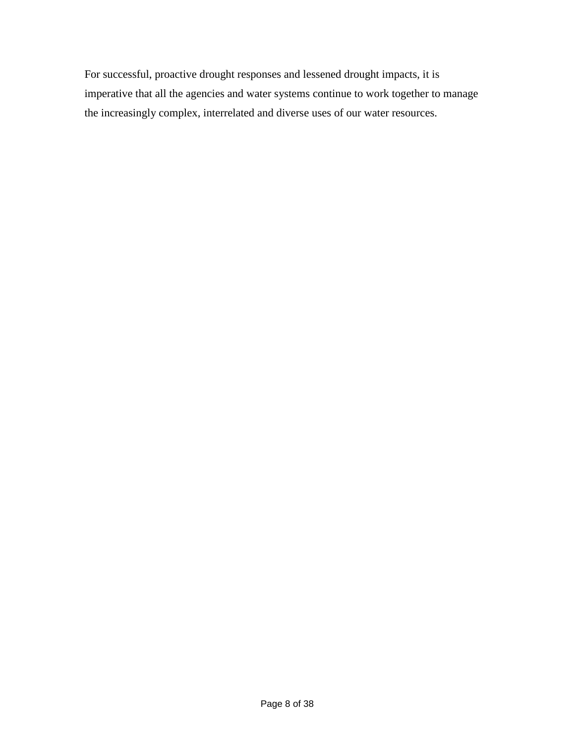For successful, proactive drought responses and lessened drought impacts, it is imperative that all the agencies and water systems continue to work together to manage the increasingly complex, interrelated and diverse uses of our water resources.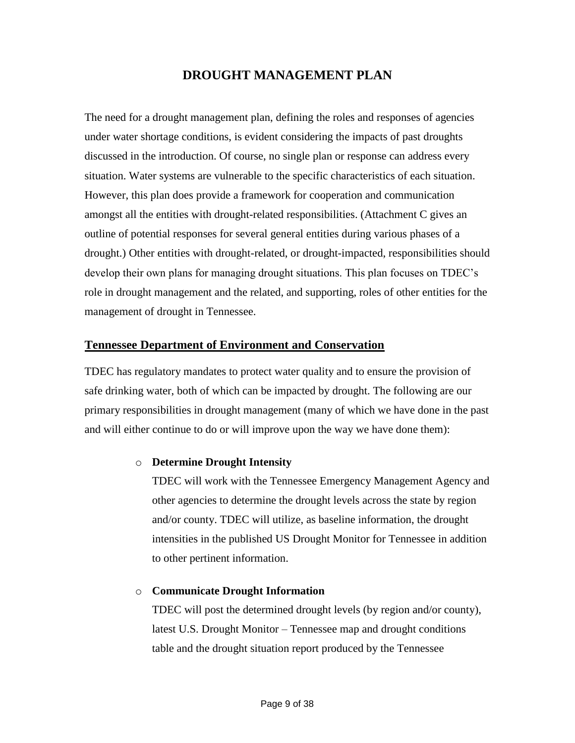### **DROUGHT MANAGEMENT PLAN**

The need for a drought management plan, defining the roles and responses of agencies under water shortage conditions, is evident considering the impacts of past droughts discussed in the introduction. Of course, no single plan or response can address every situation. Water systems are vulnerable to the specific characteristics of each situation. However, this plan does provide a framework for cooperation and communication amongst all the entities with drought-related responsibilities. (Attachment C gives an outline of potential responses for several general entities during various phases of a drought.) Other entities with drought-related, or drought-impacted, responsibilities should develop their own plans for managing drought situations. This plan focuses on TDEC's role in drought management and the related, and supporting, roles of other entities for the management of drought in Tennessee.

#### **Tennessee Department of Environment and Conservation**

TDEC has regulatory mandates to protect water quality and to ensure the provision of safe drinking water, both of which can be impacted by drought. The following are our primary responsibilities in drought management (many of which we have done in the past and will either continue to do or will improve upon the way we have done them):

#### o **Determine Drought Intensity**

TDEC will work with the Tennessee Emergency Management Agency and other agencies to determine the drought levels across the state by region and/or county. TDEC will utilize, as baseline information, the drought intensities in the published US Drought Monitor for Tennessee in addition to other pertinent information.

#### o **Communicate Drought Information**

TDEC will post the determined drought levels (by region and/or county), latest U.S. Drought Monitor – Tennessee map and drought conditions table and the drought situation report produced by the Tennessee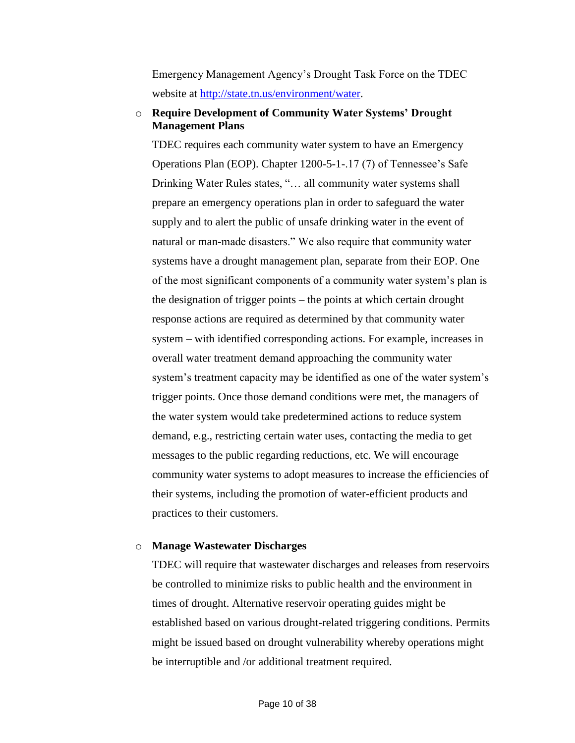Emergency Management Agency's Drought Task Force on the TDEC website at [http://state.tn.us/environment/water.](http://state.tn.us/environment/water)

#### o **Require Development of Community Water Systems' Drought Management Plans**

TDEC requires each community water system to have an Emergency Operations Plan (EOP). Chapter 1200-5-1-.17 (7) of Tennessee's Safe Drinking Water Rules states, "... all community water systems shall prepare an emergency operations plan in order to safeguard the water supply and to alert the public of unsafe drinking water in the event of natural or man-made disasters." We also require that community water systems have a drought management plan, separate from their EOP. One of the most significant components of a community water system's plan is the designation of trigger points – the points at which certain drought response actions are required as determined by that community water system – with identified corresponding actions. For example, increases in overall water treatment demand approaching the community water system's treatment capacity may be identified as one of the water system's trigger points. Once those demand conditions were met, the managers of the water system would take predetermined actions to reduce system demand, e.g., restricting certain water uses, contacting the media to get messages to the public regarding reductions, etc. We will encourage community water systems to adopt measures to increase the efficiencies of their systems, including the promotion of water-efficient products and practices to their customers.

#### o **Manage Wastewater Discharges**

TDEC will require that wastewater discharges and releases from reservoirs be controlled to minimize risks to public health and the environment in times of drought. Alternative reservoir operating guides might be established based on various drought-related triggering conditions. Permits might be issued based on drought vulnerability whereby operations might be interruptible and /or additional treatment required.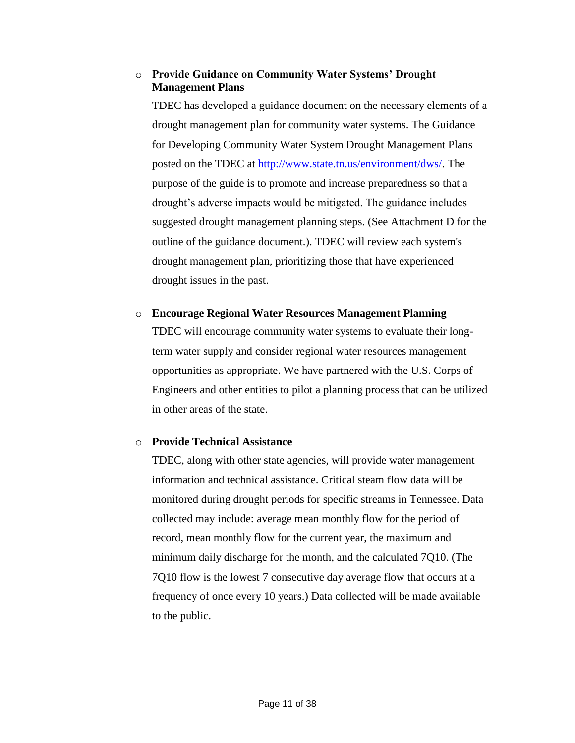#### o **Provide Guidance on Community Water Systems' Drought Management Plans**

TDEC has developed a guidance document on the necessary elements of a drought management plan for community water systems. The Guidance for Developing Community Water System Drought Management Plans posted on the TDEC at [http://www.state.tn.us/environment/dws/.](http://www.state.tn.us/environment/dws/) The purpose of the guide is to promote and increase preparedness so that a drought's adverse impacts would be mitigated. The guidance includes suggested drought management planning steps. (See Attachment D for the outline of the guidance document.). TDEC will review each system's drought management plan, prioritizing those that have experienced drought issues in the past.

#### o **Encourage Regional Water Resources Management Planning**

TDEC will encourage community water systems to evaluate their longterm water supply and consider regional water resources management opportunities as appropriate. We have partnered with the U.S. Corps of Engineers and other entities to pilot a planning process that can be utilized in other areas of the state.

#### o **Provide Technical Assistance**

TDEC, along with other state agencies, will provide water management information and technical assistance. Critical steam flow data will be monitored during drought periods for specific streams in Tennessee. Data collected may include: average mean monthly flow for the period of record, mean monthly flow for the current year, the maximum and minimum daily discharge for the month, and the calculated 7Q10. (The 7Q10 flow is the lowest 7 consecutive day average flow that occurs at a frequency of once every 10 years.) Data collected will be made available to the public.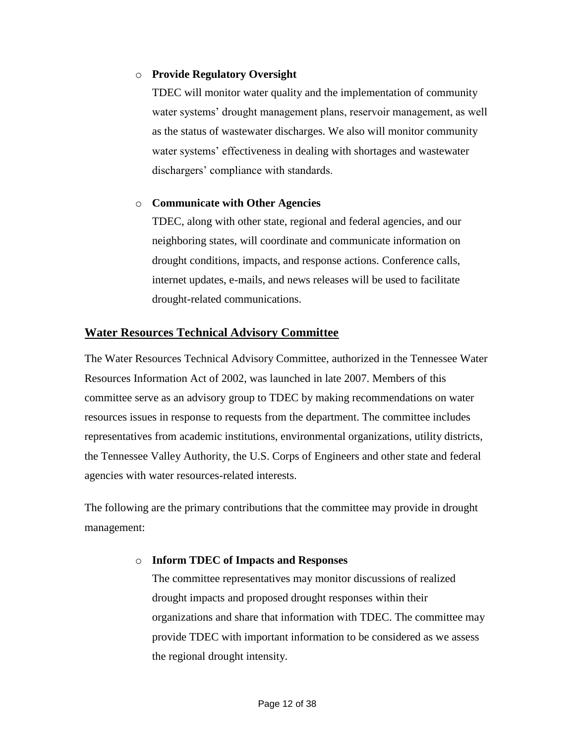#### o **Provide Regulatory Oversight**

TDEC will monitor water quality and the implementation of community water systems' drought management plans, reservoir management, as well as the status of wastewater discharges. We also will monitor community water systems' effectiveness in dealing with shortages and wastewater dischargers' compliance with standards.

#### o **Communicate with Other Agencies**

TDEC, along with other state, regional and federal agencies, and our neighboring states, will coordinate and communicate information on drought conditions, impacts, and response actions. Conference calls, internet updates, e-mails, and news releases will be used to facilitate drought-related communications.

#### **Water Resources Technical Advisory Committee**

The Water Resources Technical Advisory Committee, authorized in the Tennessee Water Resources Information Act of 2002, was launched in late 2007. Members of this committee serve as an advisory group to TDEC by making recommendations on water resources issues in response to requests from the department. The committee includes representatives from academic institutions, environmental organizations, utility districts, the Tennessee Valley Authority, the U.S. Corps of Engineers and other state and federal agencies with water resources-related interests.

The following are the primary contributions that the committee may provide in drought management:

#### o **Inform TDEC of Impacts and Responses**

The committee representatives may monitor discussions of realized drought impacts and proposed drought responses within their organizations and share that information with TDEC. The committee may provide TDEC with important information to be considered as we assess the regional drought intensity.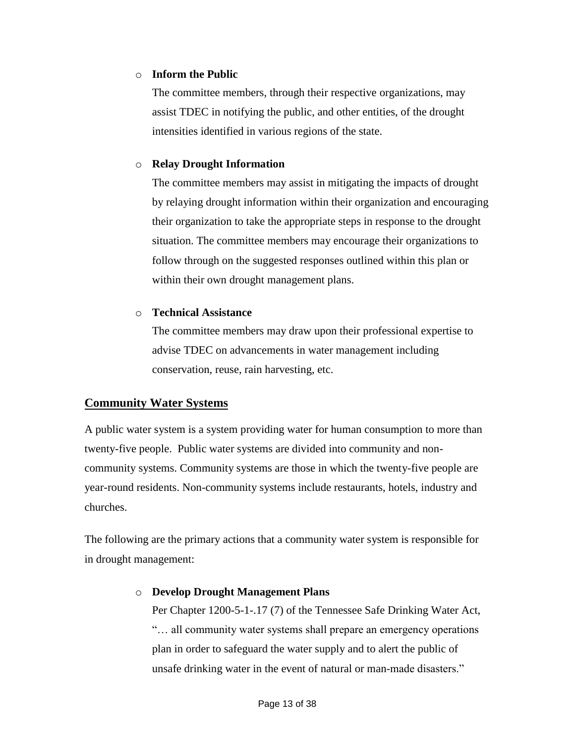#### o **Inform the Public**

The committee members, through their respective organizations, may assist TDEC in notifying the public, and other entities, of the drought intensities identified in various regions of the state.

#### o **Relay Drought Information**

The committee members may assist in mitigating the impacts of drought by relaying drought information within their organization and encouraging their organization to take the appropriate steps in response to the drought situation. The committee members may encourage their organizations to follow through on the suggested responses outlined within this plan or within their own drought management plans.

#### o **Technical Assistance**

The committee members may draw upon their professional expertise to advise TDEC on advancements in water management including conservation, reuse, rain harvesting, etc.

#### **Community Water Systems**

A public water system is a system providing water for human consumption to more than twenty-five people. Public water systems are divided into community and noncommunity systems. Community systems are those in which the twenty-five people are year-round residents. Non-community systems include restaurants, hotels, industry and churches.

The following are the primary actions that a community water system is responsible for in drought management:

#### o **Develop Drought Management Plans**

Per Chapter 1200-5-1-.17 (7) of the Tennessee Safe Drinking Water Act, "... all community water systems shall prepare an emergency operations" plan in order to safeguard the water supply and to alert the public of unsafe drinking water in the event of natural or man-made disasters."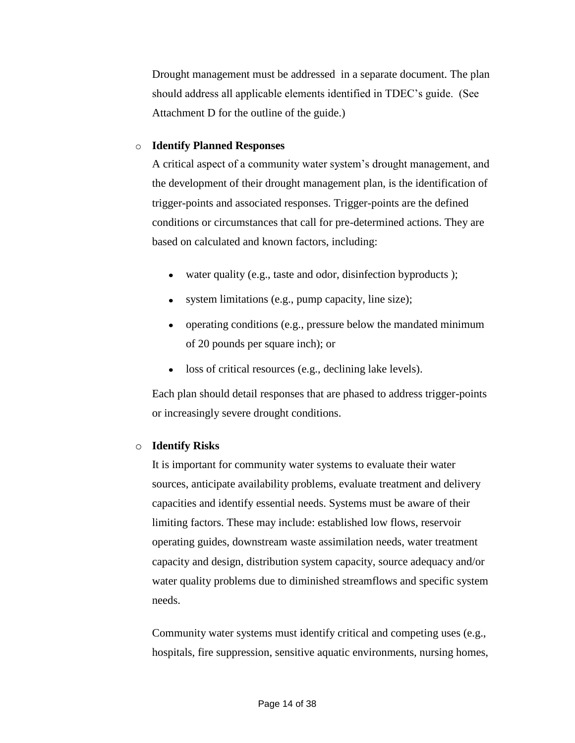Drought management must be addressed in a separate document. The plan should address all applicable elements identified in TDEC's guide. (See Attachment D for the outline of the guide.)

#### o **Identify Planned Responses**

A critical aspect of a community water system's drought management, and the development of their drought management plan, is the identification of trigger-points and associated responses. Trigger-points are the defined conditions or circumstances that call for pre-determined actions. They are based on calculated and known factors, including:

- water quality (e.g., taste and odor, disinfection byproducts);
- system limitations (e.g., pump capacity, line size);
- operating conditions (e.g., pressure below the mandated minimum of 20 pounds per square inch); or
- loss of critical resources (e.g., declining lake levels).

Each plan should detail responses that are phased to address trigger-points or increasingly severe drought conditions.

#### o **Identify Risks**

It is important for community water systems to evaluate their water sources, anticipate availability problems, evaluate treatment and delivery capacities and identify essential needs. Systems must be aware of their limiting factors. These may include: established low flows, reservoir operating guides, downstream waste assimilation needs, water treatment capacity and design, distribution system capacity, source adequacy and/or water quality problems due to diminished streamflows and specific system needs.

Community water systems must identify critical and competing uses (e.g., hospitals, fire suppression, sensitive aquatic environments, nursing homes,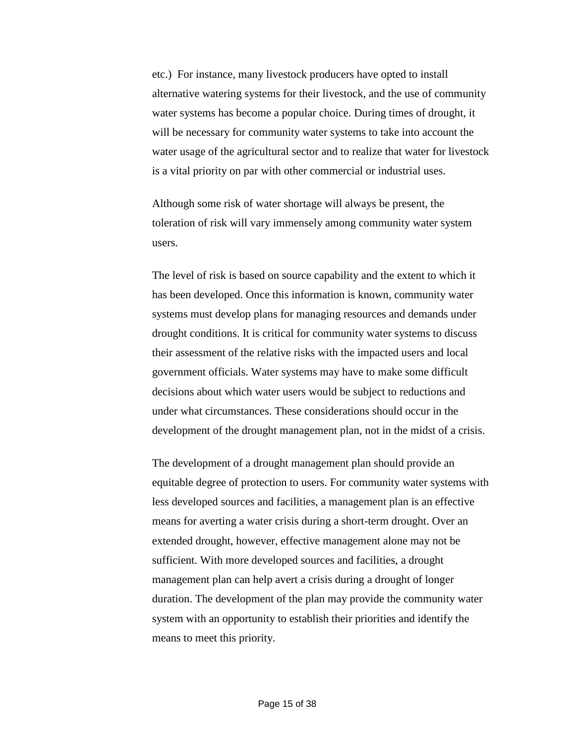etc.) For instance, many livestock producers have opted to install alternative watering systems for their livestock, and the use of community water systems has become a popular choice. During times of drought, it will be necessary for community water systems to take into account the water usage of the agricultural sector and to realize that water for livestock is a vital priority on par with other commercial or industrial uses.

Although some risk of water shortage will always be present, the toleration of risk will vary immensely among community water system users.

The level of risk is based on source capability and the extent to which it has been developed. Once this information is known, community water systems must develop plans for managing resources and demands under drought conditions. It is critical for community water systems to discuss their assessment of the relative risks with the impacted users and local government officials. Water systems may have to make some difficult decisions about which water users would be subject to reductions and under what circumstances. These considerations should occur in the development of the drought management plan, not in the midst of a crisis.

The development of a drought management plan should provide an equitable degree of protection to users. For community water systems with less developed sources and facilities, a management plan is an effective means for averting a water crisis during a short-term drought. Over an extended drought, however, effective management alone may not be sufficient. With more developed sources and facilities, a drought management plan can help avert a crisis during a drought of longer duration. The development of the plan may provide the community water system with an opportunity to establish their priorities and identify the means to meet this priority.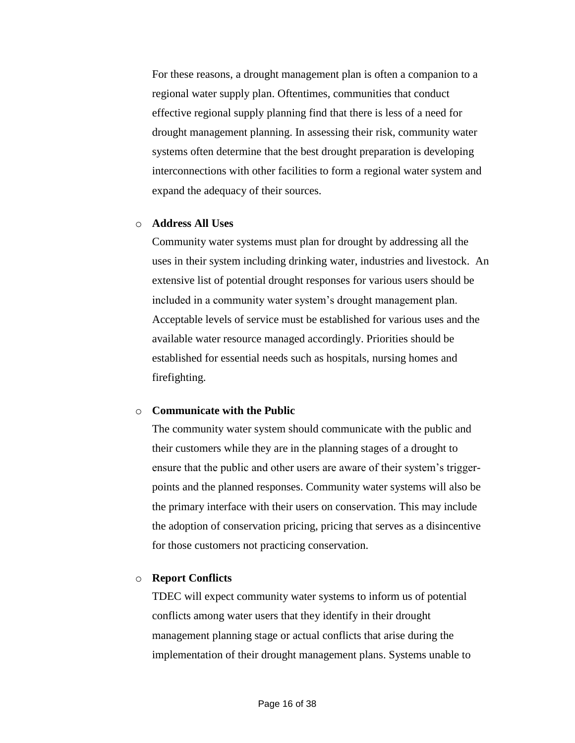For these reasons, a drought management plan is often a companion to a regional water supply plan. Oftentimes, communities that conduct effective regional supply planning find that there is less of a need for drought management planning. In assessing their risk, community water systems often determine that the best drought preparation is developing interconnections with other facilities to form a regional water system and expand the adequacy of their sources.

#### o **Address All Uses**

Community water systems must plan for drought by addressing all the uses in their system including drinking water, industries and livestock. An extensive list of potential drought responses for various users should be included in a community water system's drought management plan. Acceptable levels of service must be established for various uses and the available water resource managed accordingly. Priorities should be established for essential needs such as hospitals, nursing homes and firefighting.

#### o **Communicate with the Public**

The community water system should communicate with the public and their customers while they are in the planning stages of a drought to ensure that the public and other users are aware of their system's triggerpoints and the planned responses. Community water systems will also be the primary interface with their users on conservation. This may include the adoption of conservation pricing, pricing that serves as a disincentive for those customers not practicing conservation.

#### o **Report Conflicts**

TDEC will expect community water systems to inform us of potential conflicts among water users that they identify in their drought management planning stage or actual conflicts that arise during the implementation of their drought management plans. Systems unable to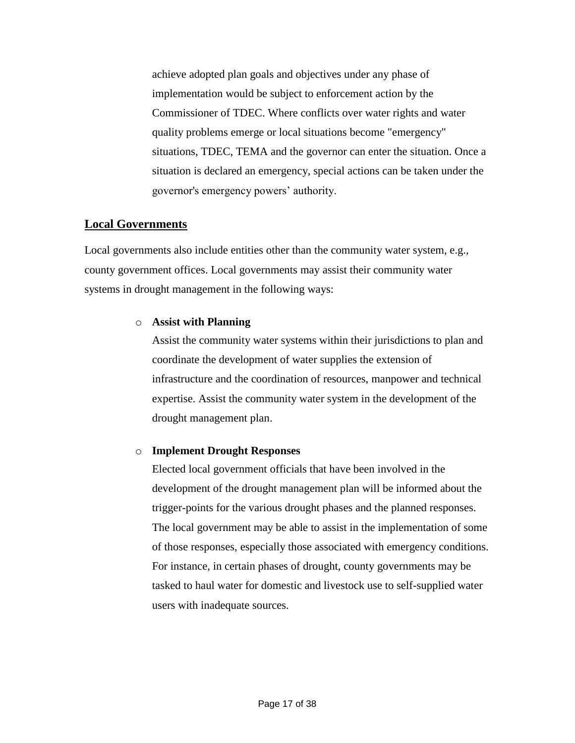achieve adopted plan goals and objectives under any phase of implementation would be subject to enforcement action by the Commissioner of TDEC. Where conflicts over water rights and water quality problems emerge or local situations become "emergency" situations, TDEC, TEMA and the governor can enter the situation. Once a situation is declared an emergency, special actions can be taken under the governor's emergency powers' authority.

#### **Local Governments**

Local governments also include entities other than the community water system, e.g., county government offices. Local governments may assist their community water systems in drought management in the following ways:

#### o **Assist with Planning**

Assist the community water systems within their jurisdictions to plan and coordinate the development of water supplies the extension of infrastructure and the coordination of resources, manpower and technical expertise. Assist the community water system in the development of the drought management plan.

#### o **Implement Drought Responses**

Elected local government officials that have been involved in the development of the drought management plan will be informed about the trigger-points for the various drought phases and the planned responses. The local government may be able to assist in the implementation of some of those responses, especially those associated with emergency conditions. For instance, in certain phases of drought, county governments may be tasked to haul water for domestic and livestock use to self-supplied water users with inadequate sources.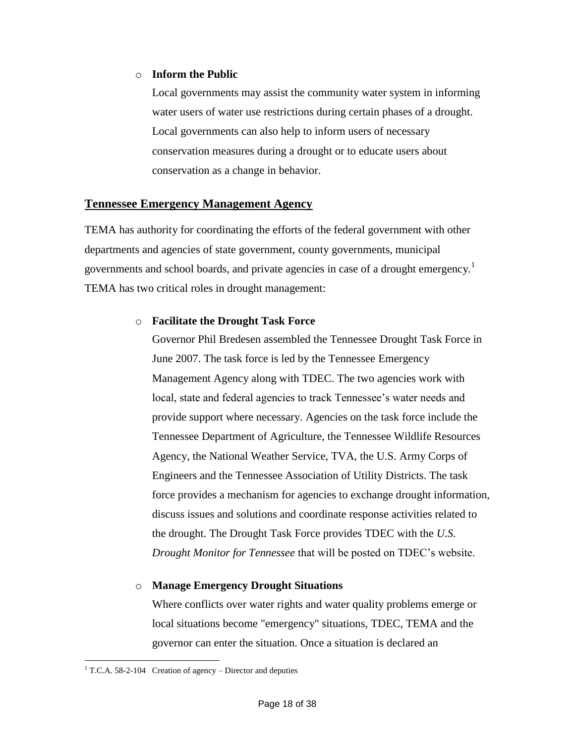#### o **Inform the Public**

Local governments may assist the community water system in informing water users of water use restrictions during certain phases of a drought. Local governments can also help to inform users of necessary conservation measures during a drought or to educate users about conservation as a change in behavior.

#### **Tennessee Emergency Management Agency**

TEMA has authority for coordinating the efforts of the federal government with other departments and agencies of state government, county governments, municipal governments and school boards, and private agencies in case of a drought emergency.<sup>1</sup> TEMA has two critical roles in drought management:

#### o **Facilitate the Drought Task Force**

Governor Phil Bredesen assembled the Tennessee Drought Task Force in June 2007. The task force is led by the Tennessee Emergency Management Agency along with TDEC. The two agencies work with local, state and federal agencies to track Tennessee's water needs and provide support where necessary. Agencies on the task force include the Tennessee Department of Agriculture, the Tennessee Wildlife Resources Agency, the National Weather Service, TVA, the U.S. Army Corps of Engineers and the Tennessee Association of Utility Districts. The task force provides a mechanism for agencies to exchange drought information, discuss issues and solutions and coordinate response activities related to the drought. The Drought Task Force provides TDEC with the *U.S. Drought Monitor for Tennessee* that will be posted on TDEC's website.

#### o **Manage Emergency Drought Situations**

Where conflicts over water rights and water quality problems emerge or local situations become "emergency" situations, TDEC, TEMA and the governor can enter the situation. Once a situation is declared an

 $\overline{a}$ <sup>1</sup> T.C.A. 58-2-104 Creation of agency – Director and deputies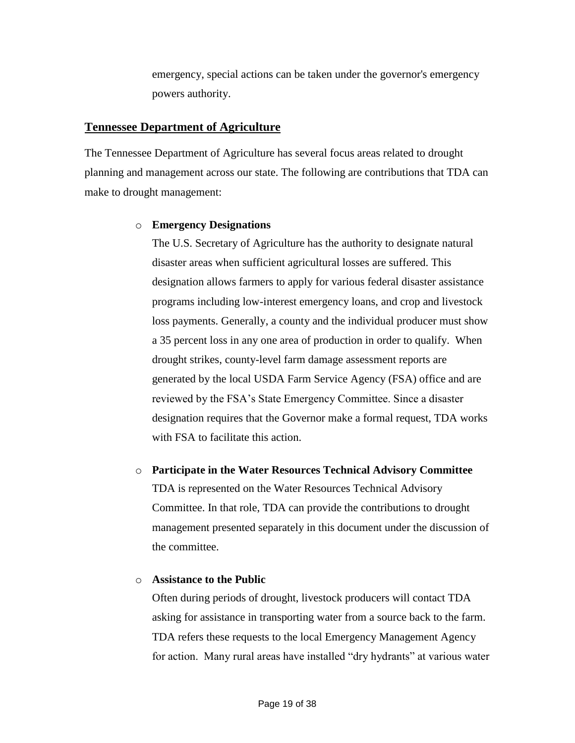emergency, special actions can be taken under the governor's emergency powers authority.

#### **Tennessee Department of Agriculture**

The Tennessee Department of Agriculture has several focus areas related to drought planning and management across our state. The following are contributions that TDA can make to drought management:

#### o **Emergency Designations**

The U.S. Secretary of Agriculture has the authority to designate natural disaster areas when sufficient agricultural losses are suffered. This designation allows farmers to apply for various federal disaster assistance programs including low-interest emergency loans, and crop and livestock loss payments. Generally, a county and the individual producer must show a 35 percent loss in any one area of production in order to qualify. When drought strikes, county-level farm damage assessment reports are generated by the local USDA Farm Service Agency (FSA) office and are reviewed by the FSA's State Emergency Committee. Since a disaster designation requires that the Governor make a formal request, TDA works with FSA to facilitate this action.

#### o **Participate in the Water Resources Technical Advisory Committee**

TDA is represented on the Water Resources Technical Advisory Committee. In that role, TDA can provide the contributions to drought management presented separately in this document under the discussion of the committee.

#### o **Assistance to the Public**

Often during periods of drought, livestock producers will contact TDA asking for assistance in transporting water from a source back to the farm. TDA refers these requests to the local Emergency Management Agency for action. Many rural areas have installed "dry hydrants" at various water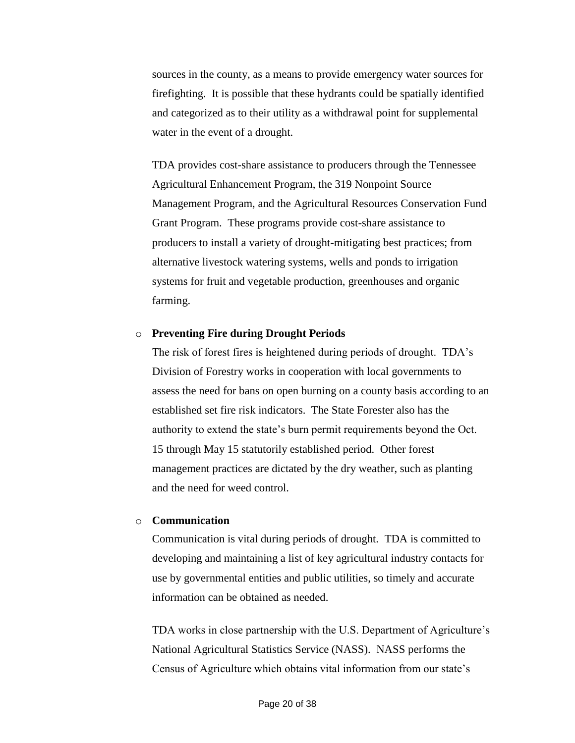sources in the county, as a means to provide emergency water sources for firefighting. It is possible that these hydrants could be spatially identified and categorized as to their utility as a withdrawal point for supplemental water in the event of a drought.

TDA provides cost-share assistance to producers through the Tennessee Agricultural Enhancement Program, the 319 Nonpoint Source Management Program, and the Agricultural Resources Conservation Fund Grant Program. These programs provide cost-share assistance to producers to install a variety of drought-mitigating best practices; from alternative livestock watering systems, wells and ponds to irrigation systems for fruit and vegetable production, greenhouses and organic farming.

#### o **Preventing Fire during Drought Periods**

The risk of forest fires is heightened during periods of drought. TDA's Division of Forestry works in cooperation with local governments to assess the need for bans on open burning on a county basis according to an established set fire risk indicators. The State Forester also has the authority to extend the state's burn permit requirements beyond the Oct. 15 through May 15 statutorily established period. Other forest management practices are dictated by the dry weather, such as planting and the need for weed control.

#### o **Communication**

Communication is vital during periods of drought. TDA is committed to developing and maintaining a list of key agricultural industry contacts for use by governmental entities and public utilities, so timely and accurate information can be obtained as needed.

TDA works in close partnership with the U.S. Department of Agriculture's National Agricultural Statistics Service (NASS). NASS performs the Census of Agriculture which obtains vital information from our state's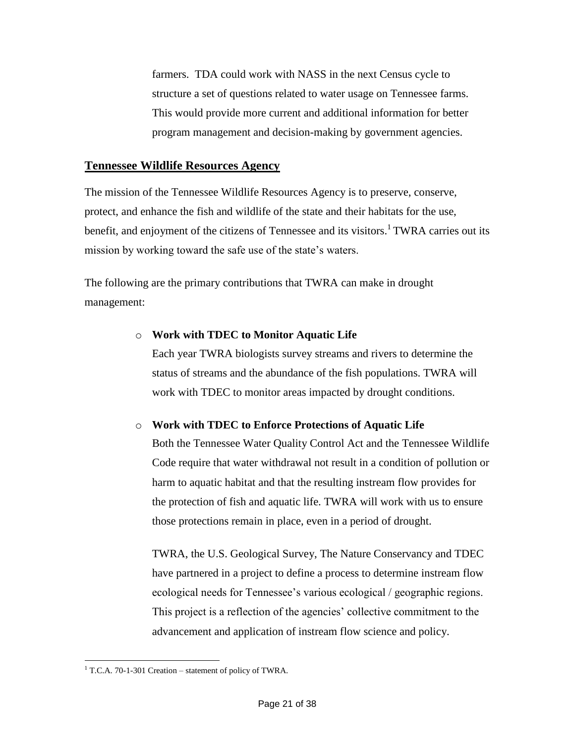farmers. TDA could work with NASS in the next Census cycle to structure a set of questions related to water usage on Tennessee farms. This would provide more current and additional information for better program management and decision-making by government agencies.

#### **Tennessee Wildlife Resources Agency**

The mission of the Tennessee Wildlife Resources Agency is to preserve, conserve, protect, and enhance the fish and wildlife of the state and their habitats for the use, benefit, and enjoyment of the citizens of Tennessee and its visitors.<sup>1</sup> TWRA carries out its mission by working toward the safe use of the state's waters.

The following are the primary contributions that TWRA can make in drought management:

#### o **Work with TDEC to Monitor Aquatic Life**

Each year TWRA biologists survey streams and rivers to determine the status of streams and the abundance of the fish populations. TWRA will work with TDEC to monitor areas impacted by drought conditions.

#### o **Work with TDEC to Enforce Protections of Aquatic Life**

Both the Tennessee Water Quality Control Act and the Tennessee Wildlife Code require that water withdrawal not result in a condition of pollution or harm to aquatic habitat and that the resulting instream flow provides for the protection of fish and aquatic life. TWRA will work with us to ensure those protections remain in place, even in a period of drought.

TWRA, the U.S. Geological Survey, The Nature Conservancy and TDEC have partnered in a project to define a process to determine instream flow ecological needs for Tennessee's various ecological / geographic regions. This project is a reflection of the agencies' collective commitment to the advancement and application of instream flow science and policy.

 $\overline{a}$ <sup>1</sup> T.C.A. 70-1-301 Creation – statement of policy of TWRA.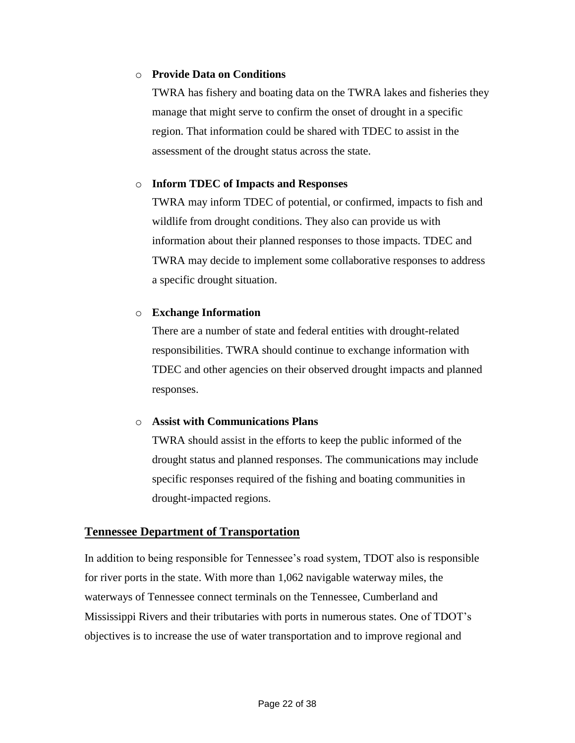#### o **Provide Data on Conditions**

TWRA has fishery and boating data on the TWRA lakes and fisheries they manage that might serve to confirm the onset of drought in a specific region. That information could be shared with TDEC to assist in the assessment of the drought status across the state.

#### o **Inform TDEC of Impacts and Responses**

TWRA may inform TDEC of potential, or confirmed, impacts to fish and wildlife from drought conditions. They also can provide us with information about their planned responses to those impacts. TDEC and TWRA may decide to implement some collaborative responses to address a specific drought situation.

#### o **Exchange Information**

There are a number of state and federal entities with drought-related responsibilities. TWRA should continue to exchange information with TDEC and other agencies on their observed drought impacts and planned responses.

#### o **Assist with Communications Plans**

TWRA should assist in the efforts to keep the public informed of the drought status and planned responses. The communications may include specific responses required of the fishing and boating communities in drought-impacted regions.

#### **Tennessee Department of Transportation**

In addition to being responsible for Tennessee's road system, TDOT also is responsible for river ports in the state. With more than 1,062 navigable waterway miles, the waterways of Tennessee connect terminals on the Tennessee, Cumberland and Mississippi Rivers and their tributaries with ports in numerous states. One of TDOT's objectives is to increase the use of water transportation and to improve regional and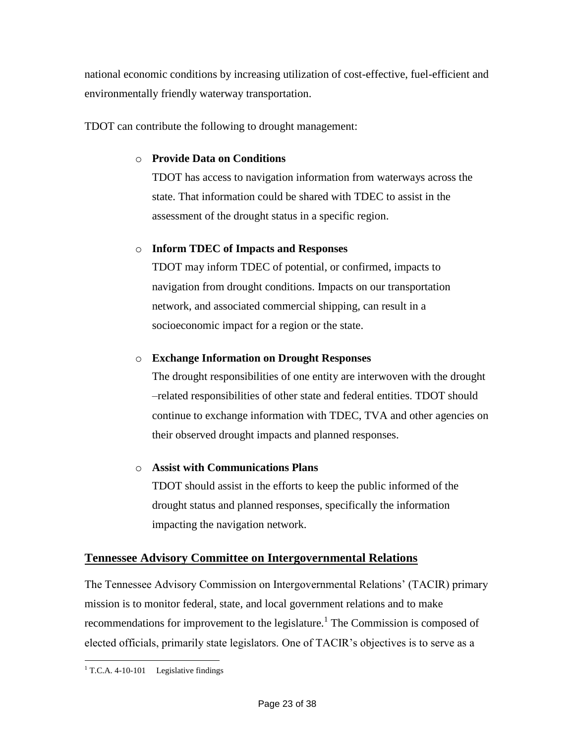national economic conditions by increasing utilization of cost-effective, fuel-efficient and environmentally friendly waterway transportation.

TDOT can contribute the following to drought management:

#### o **Provide Data on Conditions**

TDOT has access to navigation information from waterways across the state. That information could be shared with TDEC to assist in the assessment of the drought status in a specific region.

#### o **Inform TDEC of Impacts and Responses**

TDOT may inform TDEC of potential, or confirmed, impacts to navigation from drought conditions. Impacts on our transportation network, and associated commercial shipping, can result in a socioeconomic impact for a region or the state.

#### o **Exchange Information on Drought Responses**

The drought responsibilities of one entity are interwoven with the drought –related responsibilities of other state and federal entities. TDOT should continue to exchange information with TDEC, TVA and other agencies on their observed drought impacts and planned responses.

#### o **Assist with Communications Plans**

TDOT should assist in the efforts to keep the public informed of the drought status and planned responses, specifically the information impacting the navigation network.

#### **Tennessee Advisory Committee on Intergovernmental Relations**

The Tennessee Advisory Commission on Intergovernmental Relations' (TACIR) primary mission is to monitor federal, state, and local government relations and to make recommendations for improvement to the legislature.<sup>1</sup> The Commission is composed of elected officials, primarily state legislators. One of TACIR's objectives is to serve as a

 $\overline{a}$  $1$  T.C.A. 4-10-101 Legislative findings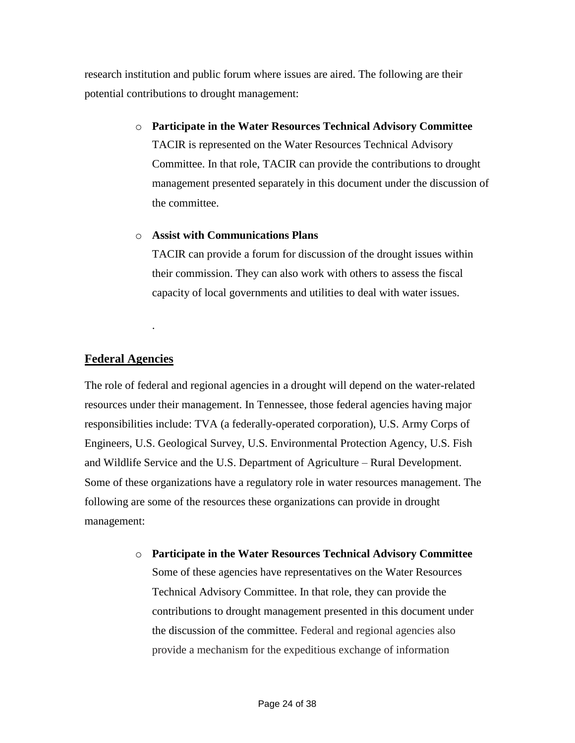research institution and public forum where issues are aired. The following are their potential contributions to drought management:

> o **Participate in the Water Resources Technical Advisory Committee** TACIR is represented on the Water Resources Technical Advisory Committee. In that role, TACIR can provide the contributions to drought management presented separately in this document under the discussion of the committee.

#### o **Assist with Communications Plans**

TACIR can provide a forum for discussion of the drought issues within their commission. They can also work with others to assess the fiscal capacity of local governments and utilities to deal with water issues.

#### **Federal Agencies**

.

The role of federal and regional agencies in a drought will depend on the water-related resources under their management. In Tennessee, those federal agencies having major responsibilities include: TVA (a federally-operated corporation), U.S. Army Corps of Engineers, U.S. Geological Survey, U.S. Environmental Protection Agency, U.S. Fish and Wildlife Service and the U.S. Department of Agriculture – Rural Development. Some of these organizations have a regulatory role in water resources management. The following are some of the resources these organizations can provide in drought management:

> o **Participate in the Water Resources Technical Advisory Committee** Some of these agencies have representatives on the Water Resources Technical Advisory Committee. In that role, they can provide the contributions to drought management presented in this document under the discussion of the committee. Federal and regional agencies also provide a mechanism for the expeditious exchange of information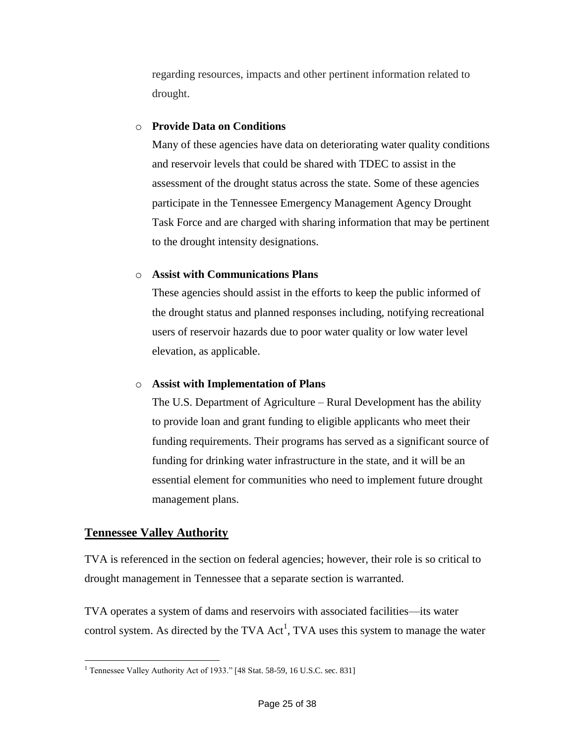regarding resources, impacts and other pertinent information related to drought.

#### o **Provide Data on Conditions**

Many of these agencies have data on deteriorating water quality conditions and reservoir levels that could be shared with TDEC to assist in the assessment of the drought status across the state. Some of these agencies participate in the Tennessee Emergency Management Agency Drought Task Force and are charged with sharing information that may be pertinent to the drought intensity designations.

#### o **Assist with Communications Plans**

These agencies should assist in the efforts to keep the public informed of the drought status and planned responses including, notifying recreational users of reservoir hazards due to poor water quality or low water level elevation, as applicable.

#### o **Assist with Implementation of Plans**

The U.S. Department of Agriculture – Rural Development has the ability to provide loan and grant funding to eligible applicants who meet their funding requirements. Their programs has served as a significant source of funding for drinking water infrastructure in the state, and it will be an essential element for communities who need to implement future drought management plans.

#### **Tennessee Valley Authority**

TVA is referenced in the section on federal agencies; however, their role is so critical to drought management in Tennessee that a separate section is warranted.

TVA operates a system of dams and reservoirs with associated facilities—its water control system. As directed by the TVA  $Act<sup>1</sup>$ , TVA uses this system to manage the water

 $\overline{a}$ <sup>1</sup> Tennessee Valley Authority Act of 1933." [48 Stat. 58-59, 16 U.S.C. sec. 831]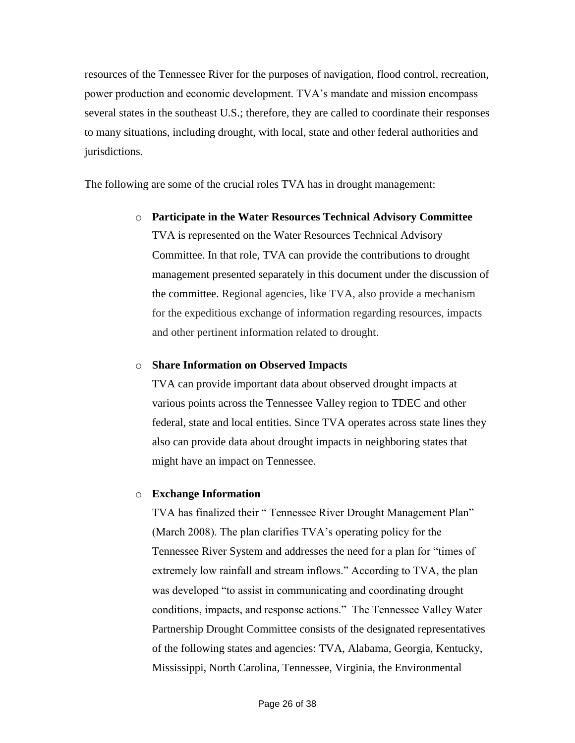resources of the Tennessee River for the purposes of navigation, flood control, recreation, power production and economic development. TVA's mandate and mission encompass several states in the southeast U.S.; therefore, they are called to coordinate their responses to many situations, including drought, with local, state and other federal authorities and jurisdictions.

The following are some of the crucial roles TVA has in drought management:

o **Participate in the Water Resources Technical Advisory Committee** TVA is represented on the Water Resources Technical Advisory Committee. In that role, TVA can provide the contributions to drought management presented separately in this document under the discussion of the committee. Regional agencies, like TVA, also provide a mechanism for the expeditious exchange of information regarding resources, impacts and other pertinent information related to drought.

#### o **Share Information on Observed Impacts**

TVA can provide important data about observed drought impacts at various points across the Tennessee Valley region to TDEC and other federal, state and local entities. Since TVA operates across state lines they also can provide data about drought impacts in neighboring states that might have an impact on Tennessee.

#### o **Exchange Information**

TVA has finalized their "Tennessee River Drought Management Plan" (March 2008). The plan clarifies TVA's operating policy for the Tennessee River System and addresses the need for a plan for "times of extremely low rainfall and stream inflows." According to TVA, the plan was developed "to assist in communicating and coordinating drought conditions, impacts, and response actions." The Tennessee Valley Water Partnership Drought Committee consists of the designated representatives of the following states and agencies: TVA, Alabama, Georgia, Kentucky, Mississippi, North Carolina, Tennessee, Virginia, the Environmental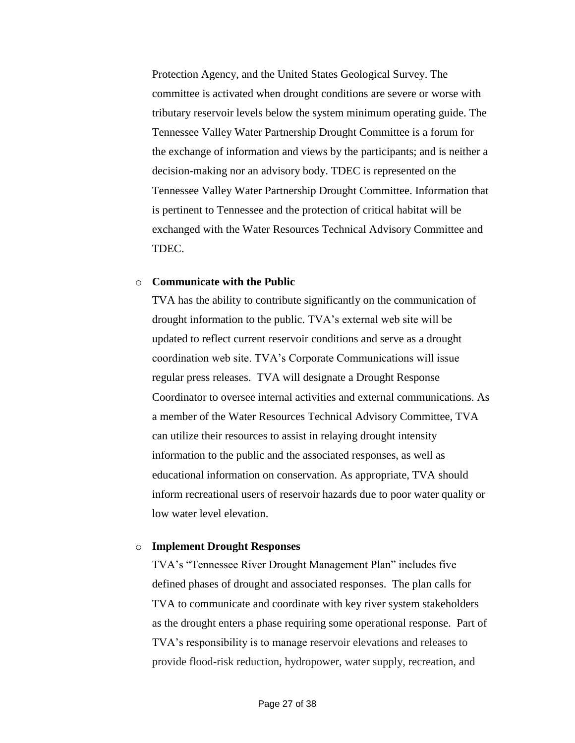Protection Agency, and the United States Geological Survey. The committee is activated when drought conditions are severe or worse with tributary reservoir levels below the system minimum operating guide. The Tennessee Valley Water Partnership Drought Committee is a forum for the exchange of information and views by the participants; and is neither a decision-making nor an advisory body. TDEC is represented on the Tennessee Valley Water Partnership Drought Committee. Information that is pertinent to Tennessee and the protection of critical habitat will be exchanged with the Water Resources Technical Advisory Committee and TDEC.

#### o **Communicate with the Public**

TVA has the ability to contribute significantly on the communication of drought information to the public. TVA's external web site will be updated to reflect current reservoir conditions and serve as a drought coordination web site. TVA's Corporate Communications will issue regular press releases. TVA will designate a Drought Response Coordinator to oversee internal activities and external communications. As a member of the Water Resources Technical Advisory Committee, TVA can utilize their resources to assist in relaying drought intensity information to the public and the associated responses, as well as educational information on conservation. As appropriate, TVA should inform recreational users of reservoir hazards due to poor water quality or low water level elevation.

#### o **Implement Drought Responses**

TVA's "Tennessee River Drought Management Plan" includes five defined phases of drought and associated responses. The plan calls for TVA to communicate and coordinate with key river system stakeholders as the drought enters a phase requiring some operational response. Part of TVA's responsibility is to manage reservoir elevations and releases to provide flood-risk reduction, hydropower, water supply, recreation, and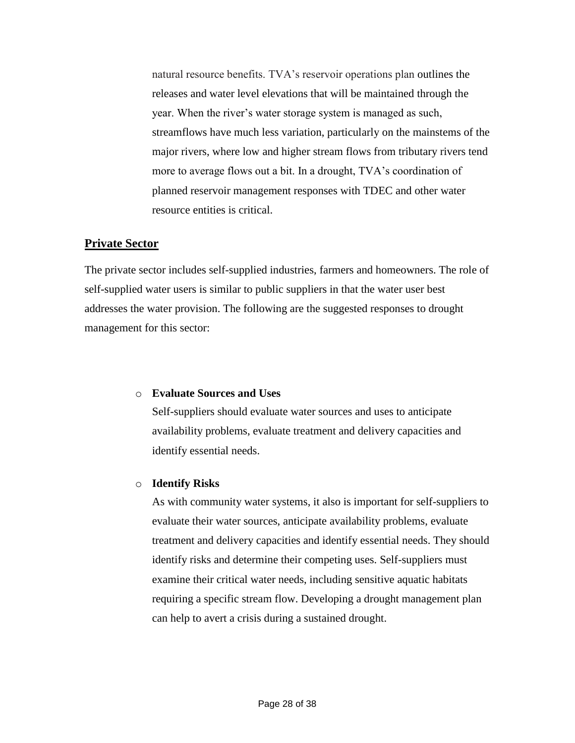natural resource benefits. TVA's reservoir operations plan outlines the releases and water level elevations that will be maintained through the year. When the river's water storage system is managed as such, streamflows have much less variation, particularly on the mainstems of the major rivers, where low and higher stream flows from tributary rivers tend more to average flows out a bit. In a drought, TVA's coordination of planned reservoir management responses with TDEC and other water resource entities is critical.

#### **Private Sector**

The private sector includes self-supplied industries, farmers and homeowners. The role of self-supplied water users is similar to public suppliers in that the water user best addresses the water provision. The following are the suggested responses to drought management for this sector:

#### o **Evaluate Sources and Uses**

Self-suppliers should evaluate water sources and uses to anticipate availability problems, evaluate treatment and delivery capacities and identify essential needs.

#### o **Identify Risks**

As with community water systems, it also is important for self-suppliers to evaluate their water sources, anticipate availability problems, evaluate treatment and delivery capacities and identify essential needs. They should identify risks and determine their competing uses. Self-suppliers must examine their critical water needs, including sensitive aquatic habitats requiring a specific stream flow. Developing a drought management plan can help to avert a crisis during a sustained drought.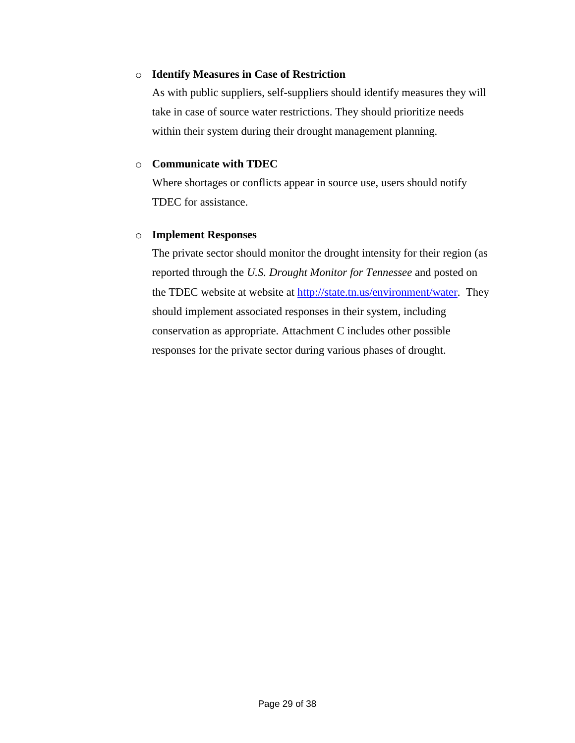#### o **Identify Measures in Case of Restriction**

As with public suppliers, self-suppliers should identify measures they will take in case of source water restrictions. They should prioritize needs within their system during their drought management planning.

#### o **Communicate with TDEC**

Where shortages or conflicts appear in source use, users should notify TDEC for assistance.

#### o **Implement Responses**

The private sector should monitor the drought intensity for their region (as reported through the *U.S. Drought Monitor for Tennessee* and posted on the TDEC website at website at [http://state.tn.us/environment/water.](http://state.tn.us/environment/water) They should implement associated responses in their system, including conservation as appropriate. Attachment C includes other possible responses for the private sector during various phases of drought.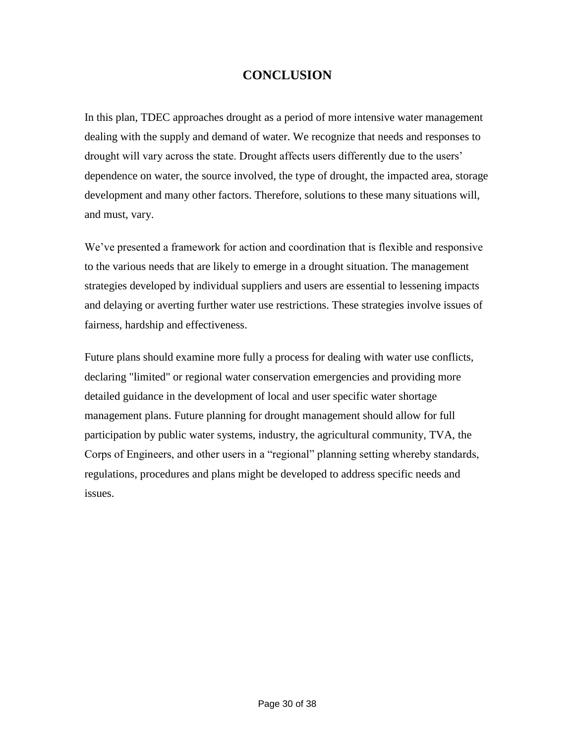### **CONCLUSION**

In this plan, TDEC approaches drought as a period of more intensive water management dealing with the supply and demand of water. We recognize that needs and responses to drought will vary across the state. Drought affects users differently due to the users' dependence on water, the source involved, the type of drought, the impacted area, storage development and many other factors. Therefore, solutions to these many situations will, and must, vary.

We've presented a framework for action and coordination that is flexible and responsive to the various needs that are likely to emerge in a drought situation. The management strategies developed by individual suppliers and users are essential to lessening impacts and delaying or averting further water use restrictions. These strategies involve issues of fairness, hardship and effectiveness.

Future plans should examine more fully a process for dealing with water use conflicts, declaring "limited" or regional water conservation emergencies and providing more detailed guidance in the development of local and user specific water shortage management plans. Future planning for drought management should allow for full participation by public water systems, industry, the agricultural community, TVA, the Corps of Engineers, and other users in a "regional" planning setting whereby standards, regulations, procedures and plans might be developed to address specific needs and issues.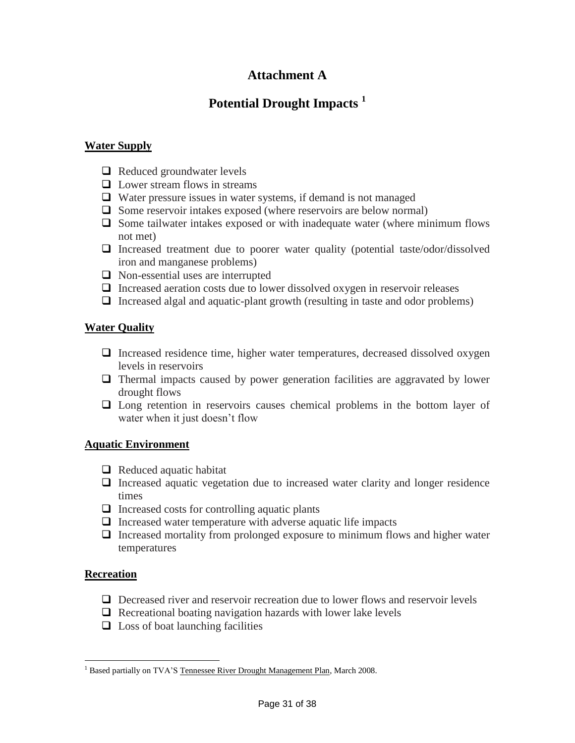### **Attachment A**

### **Potential Drought Impacts <sup>1</sup>**

#### **Water Supply**

- $\Box$  Reduced groundwater levels
- $\Box$  Lower stream flows in streams
- Water pressure issues in water systems, if demand is not managed
- $\Box$  Some reservoir intakes exposed (where reservoirs are below normal)
- $\Box$  Some tailwater intakes exposed or with inadequate water (where minimum flows not met)
- $\Box$  Increased treatment due to poorer water quality (potential taste/odor/dissolved iron and manganese problems)
- $\Box$  Non-essential uses are interrupted
- $\Box$  Increased aeration costs due to lower dissolved oxygen in reservoir releases
- Increased algal and aquatic-plant growth (resulting in taste and odor problems)

#### **Water Quality**

- $\Box$  Increased residence time, higher water temperatures, decreased dissolved oxygen levels in reservoirs
- Thermal impacts caused by power generation facilities are aggravated by lower drought flows
- Long retention in reservoirs causes chemical problems in the bottom layer of water when it just doesn't flow

#### **Aquatic Environment**

- $\Box$  Reduced aquatic habitat
- $\Box$  Increased aquatic vegetation due to increased water clarity and longer residence times
- $\Box$  Increased costs for controlling aquatic plants
- $\Box$  Increased water temperature with adverse aquatic life impacts
- $\Box$  Increased mortality from prolonged exposure to minimum flows and higher water temperatures

#### **Recreation**

- $\Box$  Decreased river and reservoir recreation due to lower flows and reservoir levels
- $\Box$  Recreational boating navigation hazards with lower lake levels
- $\Box$  Loss of boat launching facilities

 $\overline{a}$ <sup>1</sup> Based partially on TVA'S Tennessee River Drought Management Plan, March 2008.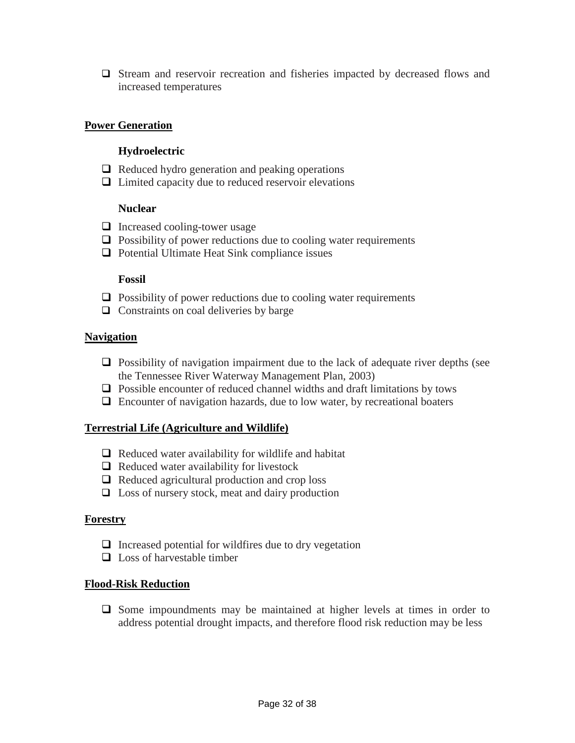Stream and reservoir recreation and fisheries impacted by decreased flows and increased temperatures

#### **Power Generation**

#### **Hydroelectric**

- $\Box$  Reduced hydro generation and peaking operations
- $\Box$  Limited capacity due to reduced reservoir elevations

#### **Nuclear**

- $\Box$  Increased cooling-tower usage
- $\Box$  Possibility of power reductions due to cooling water requirements
- $\Box$  Potential Ultimate Heat Sink compliance issues

#### **Fossil**

- $\Box$  Possibility of power reductions due to cooling water requirements
- $\Box$  Constraints on coal deliveries by barge

#### **Navigation**

- $\Box$  Possibility of navigation impairment due to the lack of adequate river depths (see the Tennessee River Waterway Management Plan, 2003)
- $\Box$  Possible encounter of reduced channel widths and draft limitations by tows
- $\Box$  Encounter of navigation hazards, due to low water, by recreational boaters

#### **Terrestrial Life (Agriculture and Wildlife)**

- $\Box$  Reduced water availability for wildlife and habitat
- $\Box$  Reduced water availability for livestock
- $\Box$  Reduced agricultural production and crop loss
- $\Box$  Loss of nursery stock, meat and dairy production

#### **Forestry**

- $\Box$  Increased potential for wildfires due to dry vegetation
- $\Box$  Loss of harvestable timber

#### **Flood-Risk Reduction**

 $\Box$  Some impoundments may be maintained at higher levels at times in order to address potential drought impacts, and therefore flood risk reduction may be less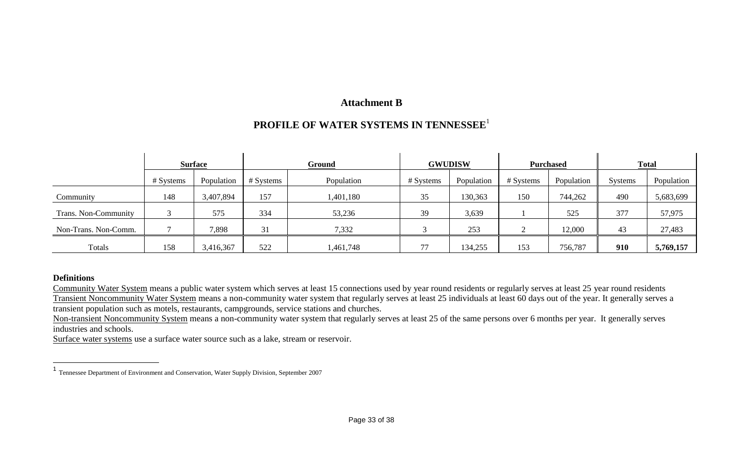### **Attachment B**

## **PROFILE OF WATER SYSTEMS IN TENNESSEE**<sup>1</sup>

|                      | <b>Surface</b> |            | Ground    |            | <b>GWUDISW</b> |            | <b>Purchased</b> |            | <b>Total</b>   |            |
|----------------------|----------------|------------|-----------|------------|----------------|------------|------------------|------------|----------------|------------|
|                      | # Systems      | Population | # Systems | Population | # Systems      | Population | # Systems        | Population | <b>Systems</b> | Population |
| Community            | 148            | 3,407,894  | 157       | ,401,180   | 35             | 130,363    | 150              | 744,262    | 490            | 5,683,699  |
| Trans. Non-Community |                | 575        | 334       | 53,236     | 39             | 3,639      |                  | 525        | 377            | 57,975     |
| Non-Trans. Non-Comm. |                | 7,898      | 31        | 7,332      |                | 253        |                  | 12,000     | 43             | 27,483     |
| Totals               | 158            | 3,416,367  | 522       | 1,461,748  |                | 134,255    | 153              | 756,787    | 910            | 5,769,157  |

#### **Definitions**

Community Water System means a public water system which serves at least 15 connections used by year round residents or regularly serves at least 25 year round residents Transient Noncommunity Water System means a non-community water system that regularly serves at least 25 individuals at least 60 days out of the year. It generally serves a transient population such as motels, restaurants, campgrounds, service stations and churches.

Non-transient Noncommunity System means a non-community water system that regularly serves at least 25 of the same persons over 6 months per year. It generally serves industries and schools.

Surface water systems use a surface water source such as a lake, stream or reservoir.

 1 Tennessee Department of Environment and Conservation, Water Supply Division, September 2007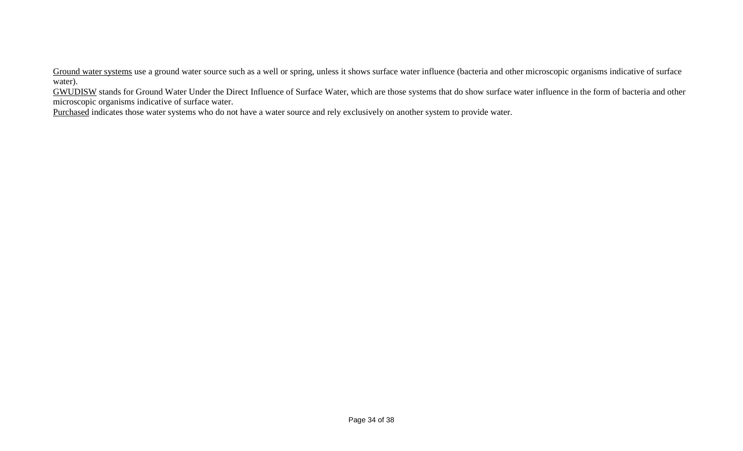Ground water systems use a ground water source such as a well or spring, unless it shows surface water influence (bacteria and other microscopic organisms indicative of surface water).

GWUDISW stands for Ground Water Under the Direct Influence of Surface Water, which are those systems that do show surface water influence in the form of bacteria and other microscopic organisms indicative of surface water.

Purchased indicates those water systems who do not have a water source and rely exclusively on another system to provide water.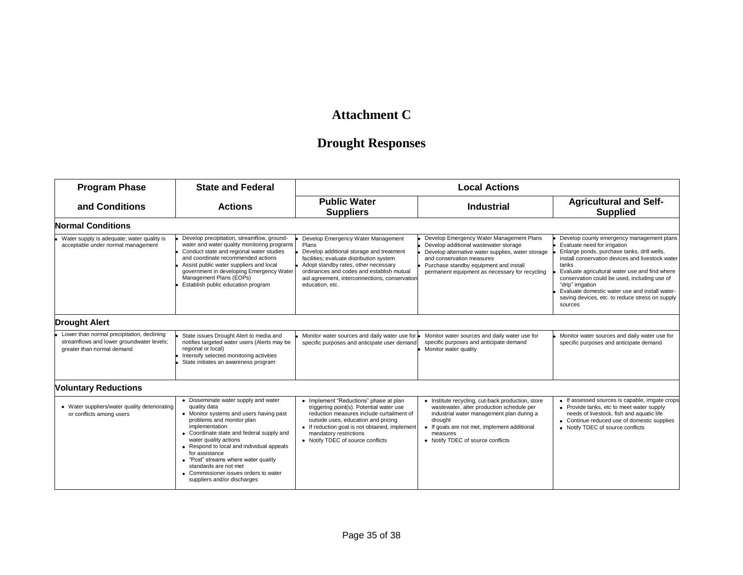## **Attachment C**

## **Drought Responses**

| <b>Program Phase</b>                                                                                                  | <b>State and Federal</b>                                                                                                                                                                                                                                                                                                                                                                                                     | <b>Local Actions</b>                                                                                                                                                                                                                                                                         |                                                                                                                                                                                                                                                                 |                                                                                                                                                                                                                                                                                                                                                                                                                              |  |  |
|-----------------------------------------------------------------------------------------------------------------------|------------------------------------------------------------------------------------------------------------------------------------------------------------------------------------------------------------------------------------------------------------------------------------------------------------------------------------------------------------------------------------------------------------------------------|----------------------------------------------------------------------------------------------------------------------------------------------------------------------------------------------------------------------------------------------------------------------------------------------|-----------------------------------------------------------------------------------------------------------------------------------------------------------------------------------------------------------------------------------------------------------------|------------------------------------------------------------------------------------------------------------------------------------------------------------------------------------------------------------------------------------------------------------------------------------------------------------------------------------------------------------------------------------------------------------------------------|--|--|
| and Conditions<br><b>Actions</b>                                                                                      |                                                                                                                                                                                                                                                                                                                                                                                                                              | <b>Public Water</b><br><b>Industrial</b><br><b>Suppliers</b>                                                                                                                                                                                                                                 |                                                                                                                                                                                                                                                                 | <b>Agricultural and Self-</b><br><b>Supplied</b>                                                                                                                                                                                                                                                                                                                                                                             |  |  |
| <b>Normal Conditions</b>                                                                                              |                                                                                                                                                                                                                                                                                                                                                                                                                              |                                                                                                                                                                                                                                                                                              |                                                                                                                                                                                                                                                                 |                                                                                                                                                                                                                                                                                                                                                                                                                              |  |  |
| Water supply is adequate; water quality is<br>acceptable under normal management                                      | Develop precipitation, streamflow, ground-<br>water and water quality monitoring programs<br>Conduct state and regional water studies<br>and coordinate recommended actions<br>Assist public water suppliers and local<br>government in developing Emergency Water<br>Management Plans (EOPs)<br>Establish public education program                                                                                          | Develop Emergency Water Management<br>Plans<br>Develop additional storage and treatment<br>facilities; evaluate distribution system<br>Adopt standby rates, other necessary<br>ordinances and codes and establish mutual<br>aid agreement, interconnections, conservation<br>education, etc. | Develop Emergency Water Management Plans<br>Develop additional wastewater storage<br>Develop alternative water supplies, water storage<br>and conservation measures<br>Purchase standby equipment and install<br>permanent equipment as necessary for recycling | Develop county emergency management plans<br>Evaluate need for irrigation<br>Enlarge ponds, purchase tanks, drill wells,<br>install conservation devices and livestock water<br>tanks<br>Evaluate agricultural water use and find where<br>conservation could be used, including use of<br>"drip" irrigation<br>Evaluate domestic water use and install water-<br>saving devices, etc. to reduce stress on supply<br>sources |  |  |
| <b>Drought Alert</b>                                                                                                  |                                                                                                                                                                                                                                                                                                                                                                                                                              |                                                                                                                                                                                                                                                                                              |                                                                                                                                                                                                                                                                 |                                                                                                                                                                                                                                                                                                                                                                                                                              |  |  |
| Lower than normal precipitation, declining<br>streamflows and lower groundwater levels;<br>greater than normal demand | State issues Drought Alert to media and<br>notifies targeted water users (Alerts may be<br>regional or local)<br>Intensify selected monitoring activities<br>State initiates an awareness program                                                                                                                                                                                                                            | Monitor water sources and daily water use for $\bullet$<br>specific purposes and anticipate user demand                                                                                                                                                                                      | Monitor water sources and daily water use for<br>specific purposes and anticipate demand<br>Monitor water quality                                                                                                                                               | Monitor water sources and daily water use for<br>specific purposes and anticipate demand                                                                                                                                                                                                                                                                                                                                     |  |  |
| <b>Voluntary Reductions</b>                                                                                           |                                                                                                                                                                                                                                                                                                                                                                                                                              |                                                                                                                                                                                                                                                                                              |                                                                                                                                                                                                                                                                 |                                                                                                                                                                                                                                                                                                                                                                                                                              |  |  |
| • Water suppliers/water quality deteriorating<br>or conflicts among users                                             | • Disseminate water supply and water<br>quality data<br>• Monitor systems and users having past<br>problems and monitor plan<br>implementation<br>• Coordinate state and federal supply and<br>water quality actions<br>• Respond to local and individual appeals<br>for assistance<br>• "Post" streams where water quality<br>standards are not met<br>• Commissioner issues orders to water<br>suppliers and/or discharges | • Implement "Reductions" phase at plan<br>triggering point(s). Potential water use<br>reduction measures include curtailment of<br>outside uses, education and pricing<br>• If reduction goal is not obtained, implement<br>mandatory restrictions<br>• Notify TDEC of source conflicts      | • Institute recycling, cut-back production, store<br>wastewater, alter production schedule per<br>industrial water management plan during a<br>drought<br>If goals are not met, implement additional<br>measures<br>• Notify TDEC of source conflicts           | • If assessed sources is capable, irrigate crops<br>• Provide tanks, etc to meet water supply<br>needs of livestock, fish and aquatic life<br>• Continue reduced use of domestic supplies<br>• Notify TDEC of source conflicts                                                                                                                                                                                               |  |  |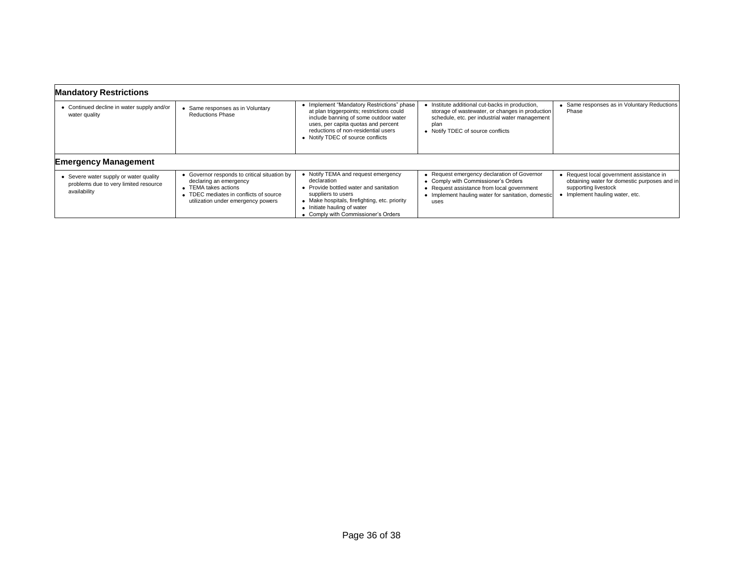| <b>Mandatory Restrictions</b>                                                                   |                                                                                                                                                                                |                                                                                                                                                                                                                                                     |                                                                                                                                                                                                 |                                                                                                                                                     |
|-------------------------------------------------------------------------------------------------|--------------------------------------------------------------------------------------------------------------------------------------------------------------------------------|-----------------------------------------------------------------------------------------------------------------------------------------------------------------------------------------------------------------------------------------------------|-------------------------------------------------------------------------------------------------------------------------------------------------------------------------------------------------|-----------------------------------------------------------------------------------------------------------------------------------------------------|
| • Continued decline in water supply and/or<br>water quality                                     | Same responses as in Voluntary<br><b>Reductions Phase</b>                                                                                                                      | • Implement "Mandatory Restrictions" phase<br>at plan triggerpoints; restrictions could<br>include banning of some outdoor water<br>uses, per capita quotas and percent<br>reductions of non-residential users<br>• Notify TDEC of source conflicts | Institute additional cut-backs in production,<br>storage of wastewater, or changes in production<br>schedule, etc. per industrial water management<br>plan<br>• Notify TDEC of source conflicts | • Same responses as in Voluntary Reductions<br>Phase                                                                                                |
| <b>Emergency Management</b>                                                                     |                                                                                                                                                                                |                                                                                                                                                                                                                                                     |                                                                                                                                                                                                 |                                                                                                                                                     |
| • Severe water supply or water quality<br>problems due to very limited resource<br>availability | • Governor responds to critical situation by<br>declaring an emergency<br>• TEMA takes actions<br>• TDEC mediates in conflicts of source<br>utilization under emergency powers | • Notify TEMA and request emergency<br>declaration<br>Provide bottled water and sanitation<br>suppliers to users<br>• Make hospitals, firefighting, etc. priority<br>• Initiate hauling of water<br>• Comply with Commissioner's Orders             | • Request emergency declaration of Governor<br>• Comply with Commissioner's Orders<br>Request assistance from local government<br>• Implement hauling water for sanitation, domestic<br>uses    | • Request local government assistance in<br>obtaining water for domestic purposes and in<br>supporting livestock<br>• Implement hauling water, etc. |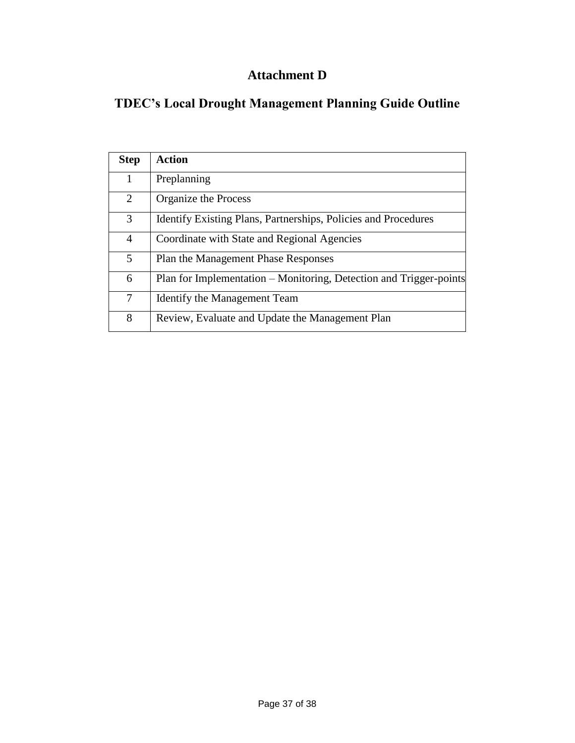## **Attachment D**

## **TDEC's Local Drought Management Planning Guide Outline**

| <b>Step</b> | <b>Action</b>                                                         |
|-------------|-----------------------------------------------------------------------|
| 1           | Preplanning                                                           |
| 2           | Organize the Process                                                  |
| 3           | <b>Identify Existing Plans, Partnerships, Policies and Procedures</b> |
| 4           | Coordinate with State and Regional Agencies                           |
| 5           | Plan the Management Phase Responses                                   |
| 6           | Plan for Implementation – Monitoring, Detection and Trigger-points    |
| 7           | <b>Identify the Management Team</b>                                   |
| 8           | Review, Evaluate and Update the Management Plan                       |